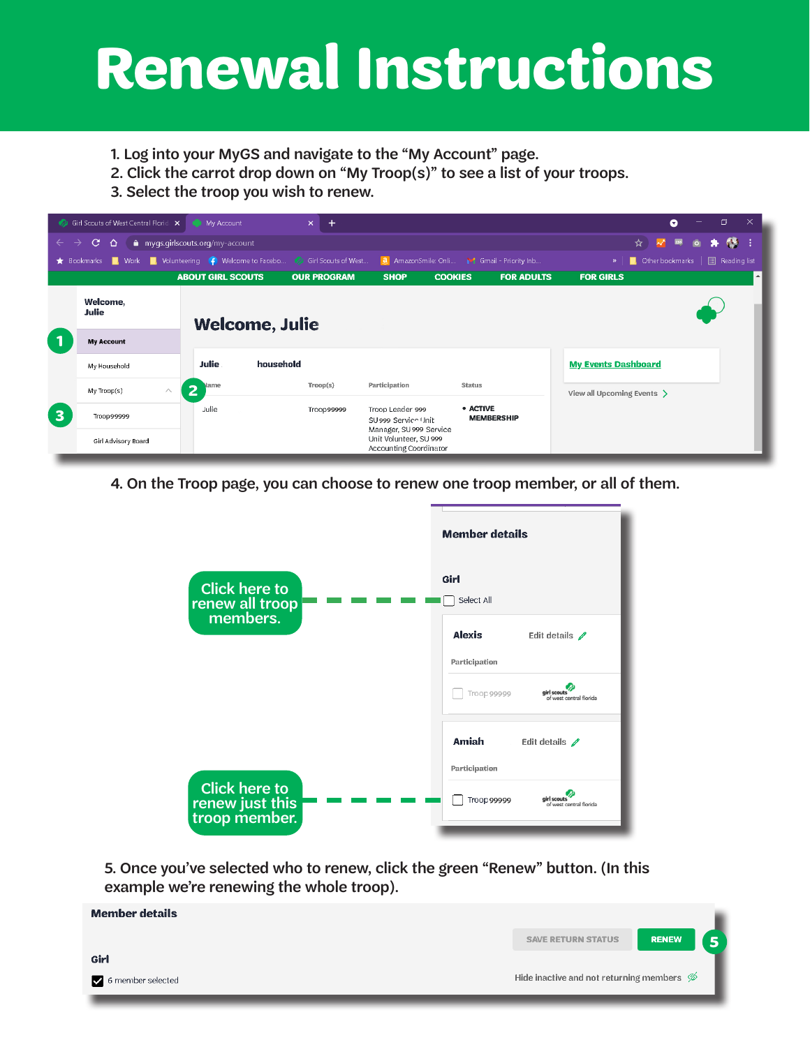## **Renewal Instructions**

- 1. Log into your MyGS and navigate to the "My Account" page.
- 2. Click the carrot drop down on "My Troop(s)" to see a list of your troops.
- 3. Select the troop you wish to renew.

|              | Girl Scouts of West Central Florid: X My Account                                                                                       |                                                                                       | $\times$<br>÷         |                                                                    |                               | $\times$<br>ð<br>Q                                       |  |  |
|--------------|----------------------------------------------------------------------------------------------------------------------------------------|---------------------------------------------------------------------------------------|-----------------------|--------------------------------------------------------------------|-------------------------------|----------------------------------------------------------|--|--|
| $\leftarrow$ | <b>B</b><br>$\mathbf{C}$<br>粵<br>$\Delta$<br>mygs.girlscouts.org/my-account<br>☆│<br>$\mathbf{A}^{\prime}$<br>*<br>$\rightarrow$<br> 0 |                                                                                       |                       |                                                                    |                               |                                                          |  |  |
|              | Bookmarks                                                                                                                              | <b>Nork Constitution</b> , Volunteering (C) Welcome to Facebo (2) Girl Scouts of West |                       | <b>a</b> AmazonSmile: Onli M Gmail - Priority Inb                  |                               | <b>国</b> Reading list<br>Other bookmarks<br>$\mathbf{w}$ |  |  |
|              |                                                                                                                                        | <b>ABOUT GIRL SCOUTS</b>                                                              | <b>OUR PROGRAM</b>    | <b>SHOP</b><br><b>COOKIES</b>                                      | <b>FOR ADULTS</b>             | <b>FOR GIRLS</b><br>$\blacktriangle$                     |  |  |
|              | Welcome,<br><b>Julie</b>                                                                                                               |                                                                                       | <b>Welcome, Julie</b> |                                                                    |                               |                                                          |  |  |
|              | <b>My Account</b>                                                                                                                      |                                                                                       |                       |                                                                    |                               |                                                          |  |  |
|              | My Household                                                                                                                           | <b>Julie</b><br>household                                                             |                       |                                                                    |                               | <b>My Events Dashboard</b>                               |  |  |
|              | My Troop(s)                                                                                                                            | lame<br> 2 <br>$\land$                                                                | Trop(s)               | Participation<br><b>Status</b>                                     |                               | View all Upcoming Events >                               |  |  |
| 3            | Troop99999                                                                                                                             | Julie                                                                                 | Troop99999            | Troop Leader 999<br>SU 999 Service Unit<br>Manager, SU 999 Service | • ACTIVE<br><b>MEMBERSHIP</b> |                                                          |  |  |
|              | Girl Advisory Board                                                                                                                    |                                                                                       |                       | Unit Volunteer, SU 999<br>Accounting Coordinator                   |                               |                                                          |  |  |

4. On the Troop page, you can choose to renew one troop member, or all of them.



5. Once you've selected who to renew, click the green "Renew" button. (In this example we're renewing the whole troop).

| <b>Member details</b> |                                                      |              |
|-----------------------|------------------------------------------------------|--------------|
|                       | <b>SAVE RETURN STATUS</b>                            | <b>RENEW</b> |
| Girl                  |                                                      |              |
| 6 member selected     | Hide inactive and not returning members $\mathcal D$ |              |
|                       |                                                      |              |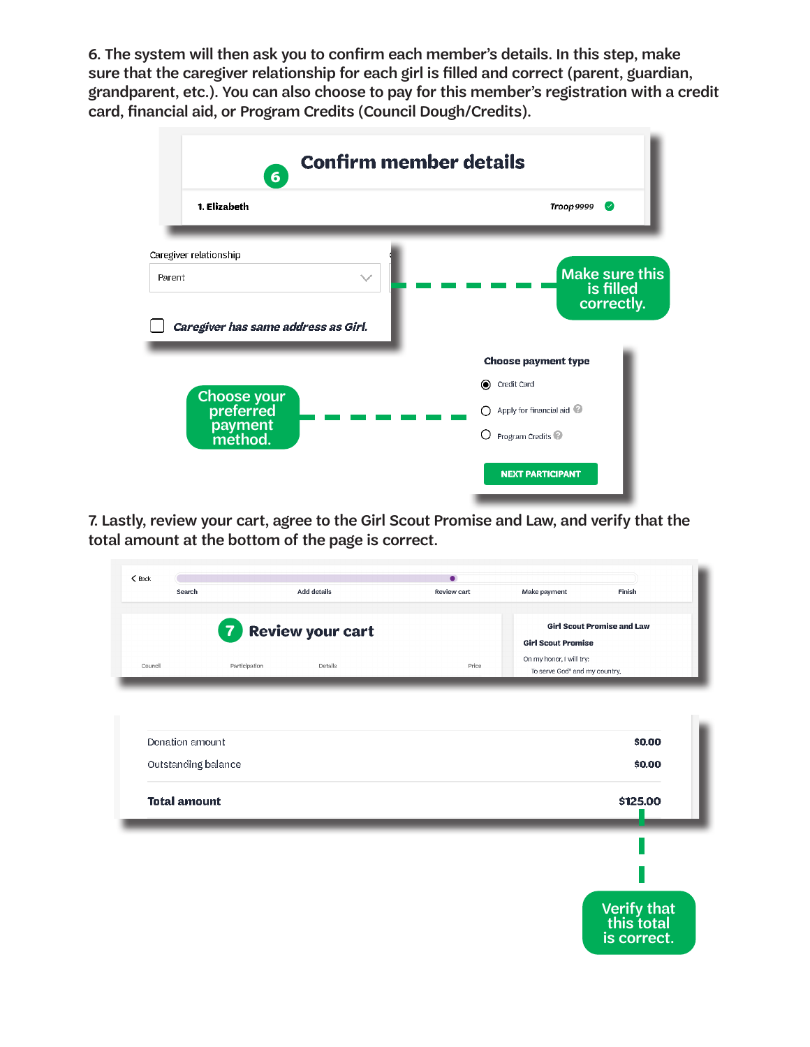6. The system will then ask you to confirm each member's details. In this step, make sure that the caregiver relationship for each girl is filled and correct (parent, guardian, grandparent, etc.). You can also choose to pay for this member's registration with a credit card, financial aid, or Program Credits (Council Dough/Credits).



7. Lastly, review your cart, agree to the Girl Scout Promise and Law, and verify that the total amount at the bottom of the page is correct.

| $\zeta$ Back            | $\bullet$           |                    |             |                                           |                           |  |
|-------------------------|---------------------|--------------------|-------------|-------------------------------------------|---------------------------|--|
|                         | Search              | <b>Add details</b> | Review cart | Make payment                              | Finish                    |  |
|                         | $\overline{7}$      |                    |             | <b>Girl Scout Promise and Law</b>         |                           |  |
| <b>Review your cart</b> |                     |                    |             | <b>Girl Scout Promise</b>                 |                           |  |
| Council                 | Participation       | Details            | Price       | On my honor, I will try:                  |                           |  |
|                         |                     |                    |             | To serve God <sup>*</sup> and my country, |                           |  |
|                         |                     |                    |             |                                           |                           |  |
|                         |                     |                    |             |                                           |                           |  |
|                         | Donation amount     |                    |             |                                           | \$0.00                    |  |
|                         | Outstanding balance |                    |             |                                           | \$0.00                    |  |
|                         |                     |                    |             |                                           |                           |  |
|                         | <b>Total amount</b> |                    |             |                                           | \$125.00                  |  |
|                         |                     |                    |             |                                           |                           |  |
|                         |                     |                    |             |                                           |                           |  |
|                         |                     |                    |             |                                           |                           |  |
|                         |                     |                    |             |                                           |                           |  |
|                         |                     |                    |             |                                           | Verify that<br>this total |  |
|                         |                     |                    |             |                                           |                           |  |
|                         |                     |                    |             |                                           | is correct.               |  |